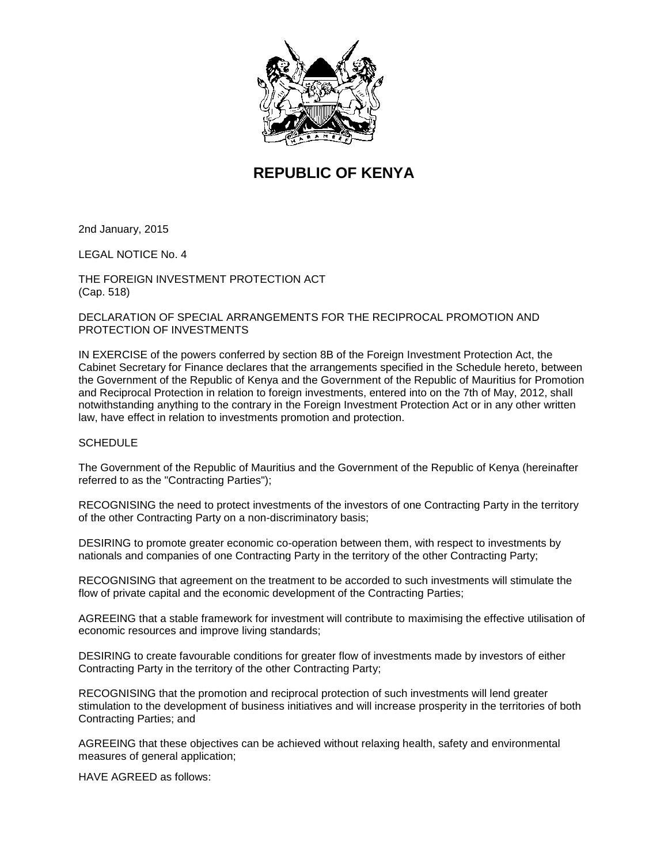

# **REPUBLIC OF KENYA**

2nd January, 2015

LEGAL NOTICE No. 4

THE FOREIGN INVESTMENT PROTECTION ACT (Cap. 518)

### DECLARATION OF SPECIAL ARRANGEMENTS FOR THE RECIPROCAL PROMOTION AND PROTECTION OF INVESTMENTS

IN EXERCISE of the powers conferred by section 8B of the Foreign Investment Protection Act, the Cabinet Secretary for Finance declares that the arrangements specified in the Schedule hereto, between the Government of the Republic of Kenya and the Government of the Republic of Mauritius for Promotion and Reciprocal Protection in relation to foreign investments, entered into on the 7th of May, 2012, shall notwithstanding anything to the contrary in the Foreign Investment Protection Act or in any other written law, have effect in relation to investments promotion and protection.

#### **SCHEDULE**

The Government of the Republic of Mauritius and the Government of the Republic of Kenya (hereinafter referred to as the "Contracting Parties");

RECOGNISING the need to protect investments of the investors of one Contracting Party in the territory of the other Contracting Party on a non-discriminatory basis;

DESIRING to promote greater economic co-operation between them, with respect to investments by nationals and companies of one Contracting Party in the territory of the other Contracting Party;

RECOGNISING that agreement on the treatment to be accorded to such investments will stimulate the flow of private capital and the economic development of the Contracting Parties;

AGREEING that a stable framework for investment will contribute to maximising the effective utilisation of economic resources and improve living standards;

DESIRING to create favourable conditions for greater flow of investments made by investors of either Contracting Party in the territory of the other Contracting Party;

RECOGNISING that the promotion and reciprocal protection of such investments will lend greater stimulation to the development of business initiatives and will increase prosperity in the territories of both Contracting Parties; and

AGREEING that these objectives can be achieved without relaxing health, safety and environmental measures of general application;

HAVE AGREED as follows: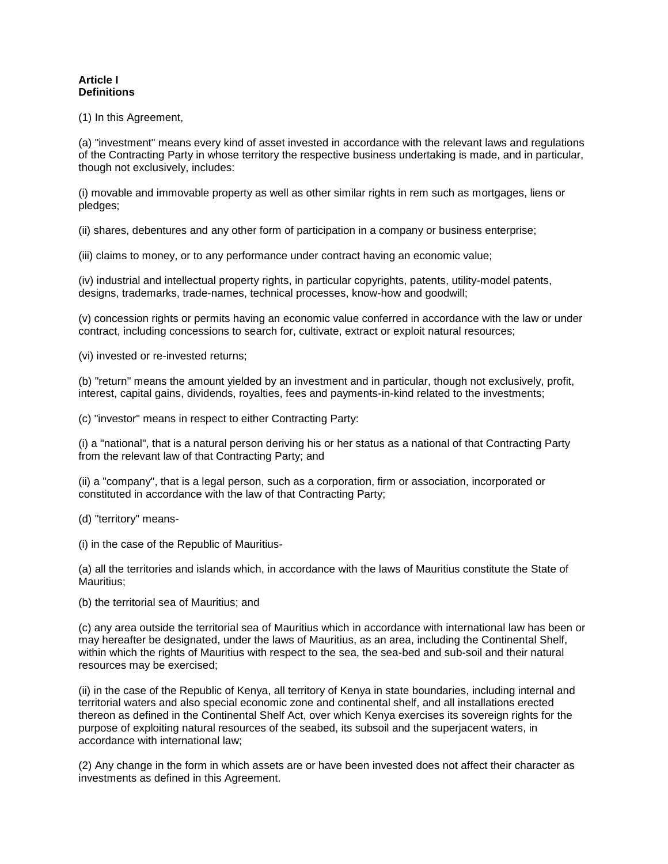#### **Article I Definitions**

(1) In this Agreement,

(a) "investment" means every kind of asset invested in accordance with the relevant laws and regulations of the Contracting Party in whose territory the respective business undertaking is made, and in particular, though not exclusively, includes:

(i) movable and immovable property as well as other similar rights in rem such as mortgages, liens or pledges;

(ii) shares, debentures and any other form of participation in a company or business enterprise;

(iii) claims to money, or to any performance under contract having an economic value;

(iv) industrial and intellectual property rights, in particular copyrights, patents, utility-model patents, designs, trademarks, trade-names, technical processes, know-how and goodwill;

(v) concession rights or permits having an economic value conferred in accordance with the law or under contract, including concessions to search for, cultivate, extract or exploit natural resources;

(vi) invested or re-invested returns;

(b) "return" means the amount yielded by an investment and in particular, though not exclusively, profit, interest, capital gains, dividends, royalties, fees and payments-in-kind related to the investments;

(c) "investor" means in respect to either Contracting Party:

(i) a "national", that is a natural person deriving his or her status as a national of that Contracting Party from the relevant law of that Contracting Party; and

(ii) a "company", that is a legal person, such as a corporation, firm or association, incorporated or constituted in accordance with the law of that Contracting Party;

(d) "territory" means-

(i) in the case of the Republic of Mauritius-

(a) all the territories and islands which, in accordance with the laws of Mauritius constitute the State of Mauritius;

(b) the territorial sea of Mauritius; and

(c) any area outside the territorial sea of Mauritius which in accordance with international law has been or may hereafter be designated, under the laws of Mauritius, as an area, including the Continental Shelf, within which the rights of Mauritius with respect to the sea, the sea-bed and sub-soil and their natural resources may be exercised;

(ii) in the case of the Republic of Kenya, all territory of Kenya in state boundaries, including internal and territorial waters and also special economic zone and continental shelf, and all installations erected thereon as defined in the Continental Shelf Act, over which Kenya exercises its sovereign rights for the purpose of exploiting natural resources of the seabed, its subsoil and the superjacent waters, in accordance with international law;

(2) Any change in the form in which assets are or have been invested does not affect their character as investments as defined in this Agreement.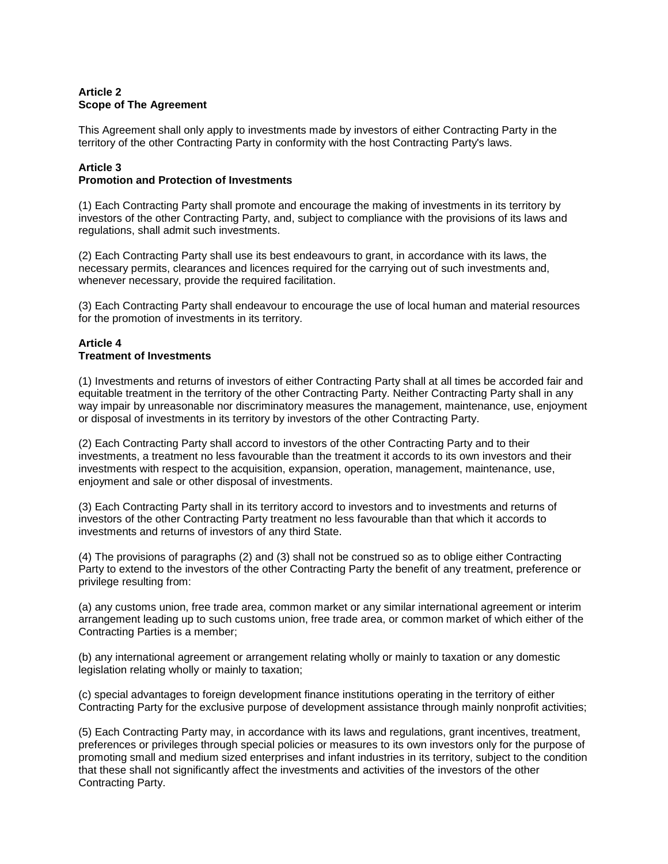## **Article 2 Scope of The Agreement**

This Agreement shall only apply to investments made by investors of either Contracting Party in the territory of the other Contracting Party in conformity with the host Contracting Party's laws.

## **Article 3**

## **Promotion and Protection of Investments**

(1) Each Contracting Party shall promote and encourage the making of investments in its territory by investors of the other Contracting Party, and, subject to compliance with the provisions of its laws and regulations, shall admit such investments.

(2) Each Contracting Party shall use its best endeavours to grant, in accordance with its laws, the necessary permits, clearances and licences required for the carrying out of such investments and, whenever necessary, provide the required facilitation.

(3) Each Contracting Party shall endeavour to encourage the use of local human and material resources for the promotion of investments in its territory.

#### **Article 4 Treatment of Investments**

(1) Investments and returns of investors of either Contracting Party shall at all times be accorded fair and equitable treatment in the territory of the other Contracting Party. Neither Contracting Party shall in any way impair by unreasonable nor discriminatory measures the management, maintenance, use, enjoyment or disposal of investments in its territory by investors of the other Contracting Party.

(2) Each Contracting Party shall accord to investors of the other Contracting Party and to their investments, a treatment no less favourable than the treatment it accords to its own investors and their investments with respect to the acquisition, expansion, operation, management, maintenance, use, enjoyment and sale or other disposal of investments.

(3) Each Contracting Party shall in its territory accord to investors and to investments and returns of investors of the other Contracting Party treatment no less favourable than that which it accords to investments and returns of investors of any third State.

(4) The provisions of paragraphs (2) and (3) shall not be construed so as to oblige either Contracting Party to extend to the investors of the other Contracting Party the benefit of any treatment, preference or privilege resulting from:

(a) any customs union, free trade area, common market or any similar international agreement or interim arrangement leading up to such customs union, free trade area, or common market of which either of the Contracting Parties is a member;

(b) any international agreement or arrangement relating wholly or mainly to taxation or any domestic legislation relating wholly or mainly to taxation;

(c) special advantages to foreign development finance institutions operating in the territory of either Contracting Party for the exclusive purpose of development assistance through mainly nonprofit activities;

(5) Each Contracting Party may, in accordance with its laws and regulations, grant incentives, treatment, preferences or privileges through special policies or measures to its own investors only for the purpose of promoting small and medium sized enterprises and infant industries in its territory, subject to the condition that these shall not significantly affect the investments and activities of the investors of the other Contracting Party.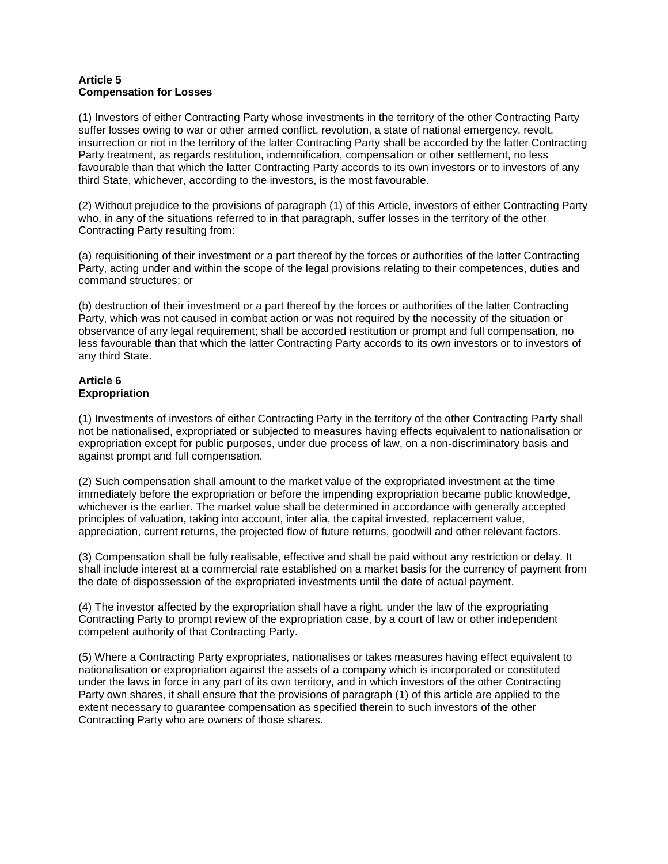#### **Article 5 Compensation for Losses**

(1) Investors of either Contracting Party whose investments in the territory of the other Contracting Party suffer losses owing to war or other armed conflict, revolution, a state of national emergency, revolt, insurrection or riot in the territory of the latter Contracting Party shall be accorded by the latter Contracting Party treatment, as regards restitution, indemnification, compensation or other settlement, no less favourable than that which the latter Contracting Party accords to its own investors or to investors of any third State, whichever, according to the investors, is the most favourable.

(2) Without prejudice to the provisions of paragraph (1) of this Article, investors of either Contracting Party who, in any of the situations referred to in that paragraph, suffer losses in the territory of the other Contracting Party resulting from:

(a) requisitioning of their investment or a part thereof by the forces or authorities of the latter Contracting Party, acting under and within the scope of the legal provisions relating to their competences, duties and command structures; or

(b) destruction of their investment or a part thereof by the forces or authorities of the latter Contracting Party, which was not caused in combat action or was not required by the necessity of the situation or observance of any legal requirement; shall be accorded restitution or prompt and full compensation, no less favourable than that which the latter Contracting Party accords to its own investors or to investors of any third State.

## **Article 6 Expropriation**

(1) Investments of investors of either Contracting Party in the territory of the other Contracting Party shall not be nationalised, expropriated or subjected to measures having effects equivalent to nationalisation or expropriation except for public purposes, under due process of law, on a non-discriminatory basis and against prompt and full compensation.

(2) Such compensation shall amount to the market value of the expropriated investment at the time immediately before the expropriation or before the impending expropriation became public knowledge, whichever is the earlier. The market value shall be determined in accordance with generally accepted principles of valuation, taking into account, inter alia, the capital invested, replacement value, appreciation, current returns, the projected flow of future returns, goodwill and other relevant factors.

(3) Compensation shall be fully realisable, effective and shall be paid without any restriction or delay. It shall include interest at a commercial rate established on a market basis for the currency of payment from the date of dispossession of the expropriated investments until the date of actual payment.

(4) The investor affected by the expropriation shall have a right, under the law of the expropriating Contracting Party to prompt review of the expropriation case, by a court of law or other independent competent authority of that Contracting Party.

(5) Where a Contracting Party expropriates, nationalises or takes measures having effect equivalent to nationalisation or expropriation against the assets of a company which is incorporated or constituted under the laws in force in any part of its own territory, and in which investors of the other Contracting Party own shares, it shall ensure that the provisions of paragraph (1) of this article are applied to the extent necessary to guarantee compensation as specified therein to such investors of the other Contracting Party who are owners of those shares.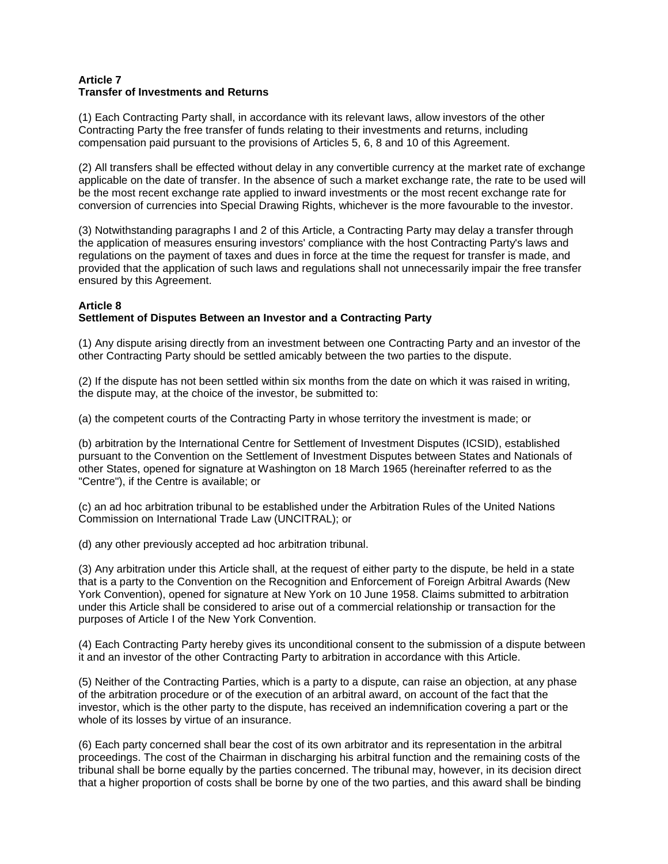#### **Article 7 Transfer of Investments and Returns**

(1) Each Contracting Party shall, in accordance with its relevant laws, allow investors of the other Contracting Party the free transfer of funds relating to their investments and returns, including compensation paid pursuant to the provisions of Articles 5, 6, 8 and 10 of this Agreement.

(2) All transfers shall be effected without delay in any convertible currency at the market rate of exchange applicable on the date of transfer. In the absence of such a market exchange rate, the rate to be used will be the most recent exchange rate applied to inward investments or the most recent exchange rate for conversion of currencies into Special Drawing Rights, whichever is the more favourable to the investor.

(3) Notwithstanding paragraphs I and 2 of this Article, a Contracting Party may delay a transfer through the application of measures ensuring investors' compliance with the host Contracting Party's laws and regulations on the payment of taxes and dues in force at the time the request for transfer is made, and provided that the application of such laws and regulations shall not unnecessarily impair the free transfer ensured by this Agreement.

## **Article 8**

## **Settlement of Disputes Between an Investor and a Contracting Party**

(1) Any dispute arising directly from an investment between one Contracting Party and an investor of the other Contracting Party should be settled amicably between the two parties to the dispute.

(2) If the dispute has not been settled within six months from the date on which it was raised in writing, the dispute may, at the choice of the investor, be submitted to:

(a) the competent courts of the Contracting Party in whose territory the investment is made; or

(b) arbitration by the International Centre for Settlement of Investment Disputes (ICSID), established pursuant to the Convention on the Settlement of Investment Disputes between States and Nationals of other States, opened for signature at Washington on 18 March 1965 (hereinafter referred to as the "Centre"), if the Centre is available; or

(c) an ad hoc arbitration tribunal to be established under the Arbitration Rules of the United Nations Commission on International Trade Law (UNCITRAL); or

(d) any other previously accepted ad hoc arbitration tribunal.

(3) Any arbitration under this Article shall, at the request of either party to the dispute, be held in a state that is a party to the Convention on the Recognition and Enforcement of Foreign Arbitral Awards (New York Convention), opened for signature at New York on 10 June 1958. Claims submitted to arbitration under this Article shall be considered to arise out of a commercial relationship or transaction for the purposes of Article I of the New York Convention.

(4) Each Contracting Party hereby gives its unconditional consent to the submission of a dispute between it and an investor of the other Contracting Party to arbitration in accordance with this Article.

(5) Neither of the Contracting Parties, which is a party to a dispute, can raise an objection, at any phase of the arbitration procedure or of the execution of an arbitral award, on account of the fact that the investor, which is the other party to the dispute, has received an indemnification covering a part or the whole of its losses by virtue of an insurance.

(6) Each party concerned shall bear the cost of its own arbitrator and its representation in the arbitral proceedings. The cost of the Chairman in discharging his arbitral function and the remaining costs of the tribunal shall be borne equally by the parties concerned. The tribunal may, however, in its decision direct that a higher proportion of costs shall be borne by one of the two parties, and this award shall be binding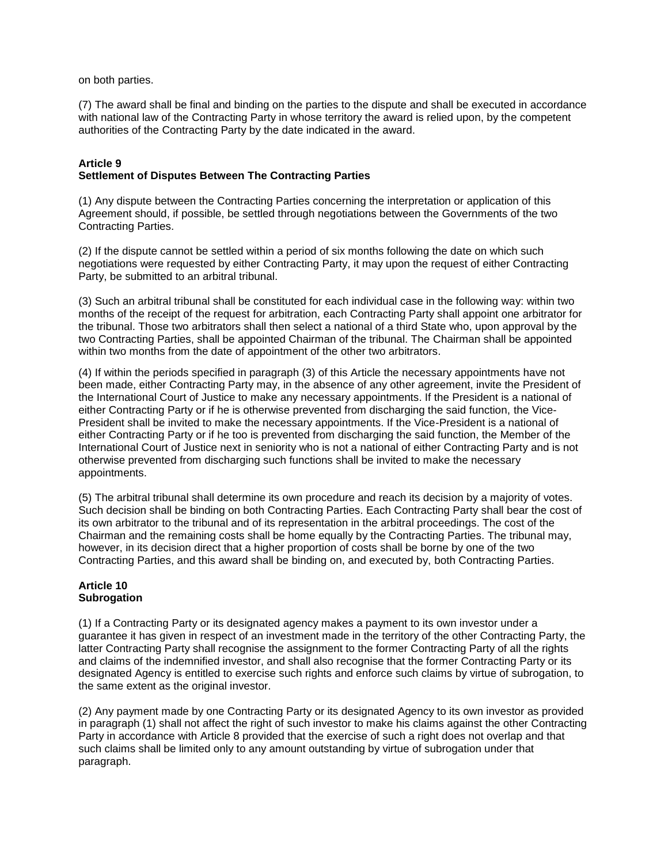on both parties.

(7) The award shall be final and binding on the parties to the dispute and shall be executed in accordance with national law of the Contracting Party in whose territory the award is relied upon, by the competent authorities of the Contracting Party by the date indicated in the award.

#### **Article 9 Settlement of Disputes Between The Contracting Parties**

(1) Any dispute between the Contracting Parties concerning the interpretation or application of this Agreement should, if possible, be settled through negotiations between the Governments of the two Contracting Parties.

(2) If the dispute cannot be settled within a period of six months following the date on which such negotiations were requested by either Contracting Party, it may upon the request of either Contracting Party, be submitted to an arbitral tribunal.

(3) Such an arbitral tribunal shall be constituted for each individual case in the following way: within two months of the receipt of the request for arbitration, each Contracting Party shall appoint one arbitrator for the tribunal. Those two arbitrators shall then select a national of a third State who, upon approval by the two Contracting Parties, shall be appointed Chairman of the tribunal. The Chairman shall be appointed within two months from the date of appointment of the other two arbitrators.

(4) If within the periods specified in paragraph (3) of this Article the necessary appointments have not been made, either Contracting Party may, in the absence of any other agreement, invite the President of the International Court of Justice to make any necessary appointments. If the President is a national of either Contracting Party or if he is otherwise prevented from discharging the said function, the Vice-President shall be invited to make the necessary appointments. If the Vice-President is a national of either Contracting Party or if he too is prevented from discharging the said function, the Member of the International Court of Justice next in seniority who is not a national of either Contracting Party and is not otherwise prevented from discharging such functions shall be invited to make the necessary appointments.

(5) The arbitral tribunal shall determine its own procedure and reach its decision by a majority of votes. Such decision shall be binding on both Contracting Parties. Each Contracting Party shall bear the cost of its own arbitrator to the tribunal and of its representation in the arbitral proceedings. The cost of the Chairman and the remaining costs shall be home equally by the Contracting Parties. The tribunal may, however, in its decision direct that a higher proportion of costs shall be borne by one of the two Contracting Parties, and this award shall be binding on, and executed by, both Contracting Parties.

#### **Article 10 Subrogation**

(1) If a Contracting Party or its designated agency makes a payment to its own investor under a guarantee it has given in respect of an investment made in the territory of the other Contracting Party, the latter Contracting Party shall recognise the assignment to the former Contracting Party of all the rights and claims of the indemnified investor, and shall also recognise that the former Contracting Party or its designated Agency is entitled to exercise such rights and enforce such claims by virtue of subrogation, to the same extent as the original investor.

(2) Any payment made by one Contracting Party or its designated Agency to its own investor as provided in paragraph (1) shall not affect the right of such investor to make his claims against the other Contracting Party in accordance with Article 8 provided that the exercise of such a right does not overlap and that such claims shall be limited only to any amount outstanding by virtue of subrogation under that paragraph.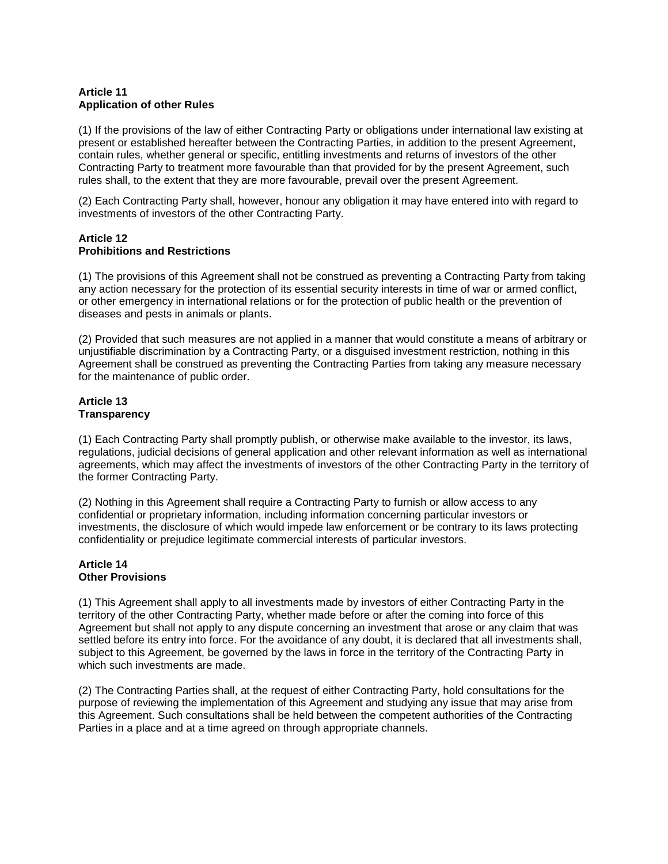## **Article 11 Application of other Rules**

(1) If the provisions of the law of either Contracting Party or obligations under international law existing at present or established hereafter between the Contracting Parties, in addition to the present Agreement, contain rules, whether general or specific, entitling investments and returns of investors of the other Contracting Party to treatment more favourable than that provided for by the present Agreement, such rules shall, to the extent that they are more favourable, prevail over the present Agreement.

(2) Each Contracting Party shall, however, honour any obligation it may have entered into with regard to investments of investors of the other Contracting Party.

### **Article 12 Prohibitions and Restrictions**

(1) The provisions of this Agreement shall not be construed as preventing a Contracting Party from taking any action necessary for the protection of its essential security interests in time of war or armed conflict, or other emergency in international relations or for the protection of public health or the prevention of diseases and pests in animals or plants.

(2) Provided that such measures are not applied in a manner that would constitute a means of arbitrary or unjustifiable discrimination by a Contracting Party, or a disguised investment restriction, nothing in this Agreement shall be construed as preventing the Contracting Parties from taking any measure necessary for the maintenance of public order.

#### **Article 13 Transparency**

(1) Each Contracting Party shall promptly publish, or otherwise make available to the investor, its laws, regulations, judicial decisions of general application and other relevant information as well as international agreements, which may affect the investments of investors of the other Contracting Party in the territory of the former Contracting Party.

(2) Nothing in this Agreement shall require a Contracting Party to furnish or allow access to any confidential or proprietary information, including information concerning particular investors or investments, the disclosure of which would impede law enforcement or be contrary to its laws protecting confidentiality or prejudice legitimate commercial interests of particular investors.

### **Article 14 Other Provisions**

(1) This Agreement shall apply to all investments made by investors of either Contracting Party in the territory of the other Contracting Party, whether made before or after the coming into force of this Agreement but shall not apply to any dispute concerning an investment that arose or any claim that was settled before its entry into force. For the avoidance of any doubt, it is declared that all investments shall, subject to this Agreement, be governed by the laws in force in the territory of the Contracting Party in which such investments are made.

(2) The Contracting Parties shall, at the request of either Contracting Party, hold consultations for the purpose of reviewing the implementation of this Agreement and studying any issue that may arise from this Agreement. Such consultations shall be held between the competent authorities of the Contracting Parties in a place and at a time agreed on through appropriate channels.